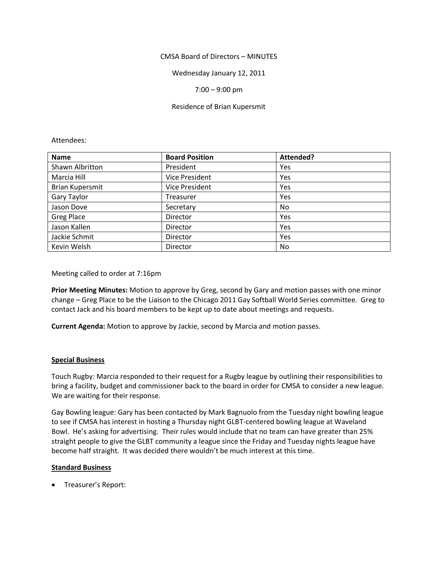## CMSA Board of Directors – MINUTES

Wednesday January 12, 2011

## 7:00 – 9:00 pm

## Residence of Brian Kupersmit

#### Attendees:

| <b>Name</b>            | <b>Board Position</b> | Attended? |
|------------------------|-----------------------|-----------|
| Shawn Albritton        | President             | Yes       |
| Marcia Hill            | <b>Vice President</b> | Yes       |
| <b>Brian Kupersmit</b> | <b>Vice President</b> | Yes       |
| Gary Taylor            | <b>Treasurer</b>      | Yes       |
| Jason Dove             | Secretary             | No.       |
| <b>Greg Place</b>      | Director              | Yes       |
| Jason Kallen           | Director              | Yes       |
| Jackie Schmit          | Director              | Yes       |
| Kevin Welsh            | Director              | No.       |

#### Meeting called to order at 7:16pm

**Prior Meeting Minutes:** Motion to approve by Greg, second by Gary and motion passes with one minor change – Greg Place to be the Liaison to the Chicago 2011 Gay Softball World Series committee. Greg to contact Jack and his board members to be kept up to date about meetings and requests.

**Current Agenda:** Motion to approve by Jackie, second by Marcia and motion passes.

# **Special Business**

Touch Rugby: Marcia responded to their request for a Rugby league by outlining their responsibilities to bring a facility, budget and commissioner back to the board in order for CMSA to consider a new league. We are waiting for their response.

Gay Bowling league: Gary has been contacted by Mark Bagnuolo from the Tuesday night bowling league to see if CMSA has interest in hosting a Thursday night GLBT-centered bowling league at Waveland Bowl. He's asking for advertising. Their rules would include that no team can have greater than 25% straight people to give the GLBT community a league since the Friday and Tuesday nights league have become half straight. It was decided there wouldn't be much interest at this time.

#### **Standard Business**

Treasurer's Report: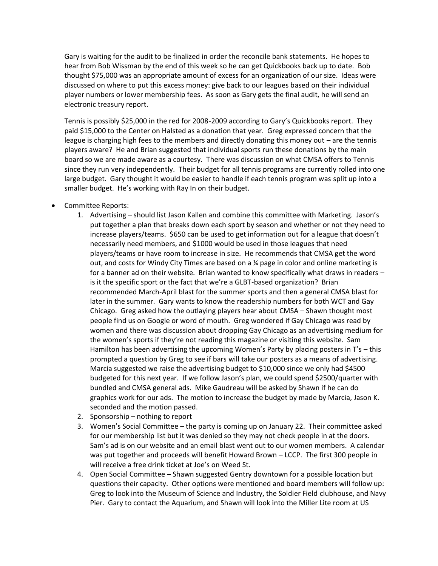Gary is waiting for the audit to be finalized in order the reconcile bank statements. He hopes to hear from Bob Wissman by the end of this week so he can get Quickbooks back up to date. Bob thought \$75,000 was an appropriate amount of excess for an organization of our size. Ideas were discussed on where to put this excess money: give back to our leagues based on their individual player numbers or lower membership fees. As soon as Gary gets the final audit, he will send an electronic treasury report.

Tennis is possibly \$25,000 in the red for 2008-2009 according to Gary's Quickbooks report. They paid \$15,000 to the Center on Halsted as a donation that year. Greg expressed concern that the league is charging high fees to the members and directly donating this money out – are the tennis players aware? He and Brian suggested that individual sports run these donations by the main board so we are made aware as a courtesy. There was discussion on what CMSA offers to Tennis since they run very independently. Their budget for all tennis programs are currently rolled into one large budget. Gary thought it would be easier to handle if each tennis program was split up into a smaller budget. He's working with Ray In on their budget.

- Committee Reports:
	- 1. Advertising should list Jason Kallen and combine this committee with Marketing. Jason's put together a plan that breaks down each sport by season and whether or not they need to increase players/teams. \$650 can be used to get information out for a league that doesn't necessarily need members, and \$1000 would be used in those leagues that need players/teams or have room to increase in size. He recommends that CMSA get the word out, and costs for Windy City Times are based on a ¼ page in color and online marketing is for a banner ad on their website. Brian wanted to know specifically what draws in readers is it the specific sport or the fact that we're a GLBT-based organization? Brian recommended March-April blast for the summer sports and then a general CMSA blast for later in the summer. Gary wants to know the readership numbers for both WCT and Gay Chicago. Greg asked how the outlaying players hear about CMSA – Shawn thought most people find us on Google or word of mouth. Greg wondered if Gay Chicago was read by women and there was discussion about dropping Gay Chicago as an advertising medium for the women's sports if they're not reading this magazine or visiting this website. Sam Hamilton has been advertising the upcoming Women's Party by placing posters in T's - this prompted a question by Greg to see if bars will take our posters as a means of advertising. Marcia suggested we raise the advertising budget to \$10,000 since we only had \$4500 budgeted for this next year. If we follow Jason's plan, we could spend \$2500/quarter with bundled and CMSA general ads. Mike Gaudreau will be asked by Shawn if he can do graphics work for our ads. The motion to increase the budget by made by Marcia, Jason K. seconded and the motion passed.
	- 2. Sponsorship nothing to report
	- 3. Women's Social Committee the party is coming up on January 22. Their committee asked for our membership list but it was denied so they may not check people in at the doors. Sam's ad is on our website and an email blast went out to our women members. A calendar was put together and proceeds will benefit Howard Brown – LCCP. The first 300 people in will receive a free drink ticket at Joe's on Weed St.
	- 4. Open Social Committee Shawn suggested Gentry downtown for a possible location but questions their capacity. Other options were mentioned and board members will follow up: Greg to look into the Museum of Science and Industry, the Soldier Field clubhouse, and Navy Pier. Gary to contact the Aquarium, and Shawn will look into the Miller Lite room at US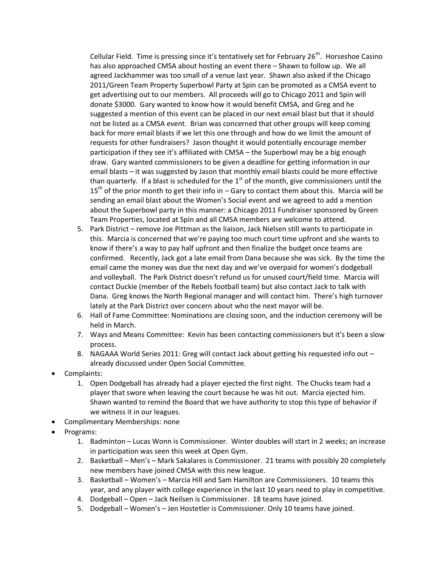Cellular Field. Time is pressing since it's tentatively set for February  $26<sup>th</sup>$ . Horseshoe Casino has also approached CMSA about hosting an event there – Shawn to follow up. We all agreed Jackhammer was too small of a venue last year. Shawn also asked if the Chicago 2011/Green Team Property Superbowl Party at Spin can be promoted as a CMSA event to get advertising out to our members. All proceeds will go to Chicago 2011 and Spin will donate \$3000. Gary wanted to know how it would benefit CMSA, and Greg and he suggested a mention of this event can be placed in our next email blast but that it should not be listed as a CMSA event. Brian was concerned that other groups will keep coming back for more email blasts if we let this one through and how do we limit the amount of requests for other fundraisers? Jason thought it would potentially encourage member participation if they see it's affiliated with CMSA – the Superbowl may be a big enough draw. Gary wanted commissioners to be given a deadline for getting information in our email blasts – it was suggested by Jason that monthly email blasts could be more effective than quarterly. If a blast is scheduled for the  $1<sup>st</sup>$  of the month, give commissioners until the  $15<sup>th</sup>$  of the prior month to get their info in – Gary to contact them about this. Marcia will be sending an email blast about the Women's Social event and we agreed to add a mention about the Superbowl party in this manner: a Chicago 2011 Fundraiser sponsored by Green Team Properties, located at Spin and all CMSA members are welcome to attend.

- 5. Park District remove Joe Pittman as the liaison, Jack Nielsen still wants to participate in this. Marcia is concerned that we're paying too much court time upfront and she wants to know if there's a way to pay half upfront and then finalize the budget once teams are confirmed. Recently, Jack got a late email from Dana because she was sick. By the time the email came the money was due the next day and we've overpaid for women's dodgeball and volleyball. The Park District doesn't refund us for unused court/field time. Marcia will contact Duckie (member of the Rebels football team) but also contact Jack to talk with Dana. Greg knows the North Regional manager and will contact him. There's high turnover lately at the Park District over concern about who the next mayor will be.
- 6. Hall of Fame Committee: Nominations are closing soon, and the induction ceremony will be held in March.
- 7. Ways and Means Committee: Kevin has been contacting commissioners but it's been a slow process.
- 8. NAGAAA World Series 2011: Greg will contact Jack about getting his requested info out already discussed under Open Social Committee.
- Complaints:
	- 1. Open Dodgeball has already had a player ejected the first night. The Chucks team had a player that swore when leaving the court because he was hit out. Marcia ejected him. Shawn wanted to remind the Board that we have authority to stop this type of behavior if we witness it in our leagues.
- Complimentary Memberships: none
- Programs:
	- 1. Badminton Lucas Wonn is Commissioner. Winter doubles will start in 2 weeks; an increase in participation was seen this week at Open Gym.
	- 2. Basketball Men's Mark Sakalares is Commissioner. 21 teams with possibly 20 completely new members have joined CMSA with this new league.
	- 3. Basketball Women's Marcia Hill and Sam Hamilton are Commissioners. 10 teams this year, and any player with college experience in the last 10 years need to play in competitive.
	- 4. Dodgeball Open Jack Neilsen is Commissioner. 18 teams have joined.
	- 5. Dodgeball Women's Jen Hostetler is Commissioner. Only 10 teams have joined.